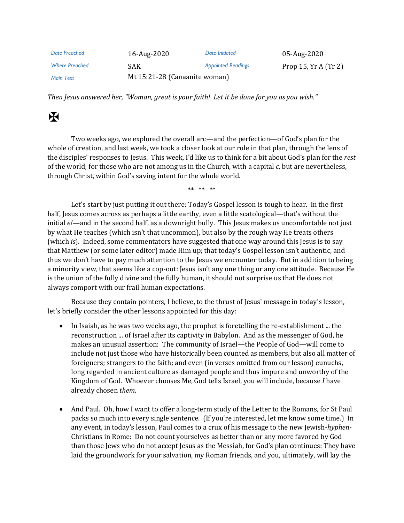| Date Preached         | 16-Aug-2020                   | Date Initiated            | 05-Aug-2020         |
|-----------------------|-------------------------------|---------------------------|---------------------|
| <b>Where Preached</b> | SAK.                          | <b>Appointed Readings</b> | Prop 15, $YrA(Tr2)$ |
| Main Text             | Mt 15:21-28 (Canaanite woman) |                           |                     |

*Then Jesus answered her, "Woman, great is your faith! Let it be done for you as you wish."*

## $\mathbf H$

Two weeks ago, we explored the overall arc—and the perfection—of God's plan for the whole of creation, and last week, we took a closer look at our role in that plan, through the lens of the disciples' responses to Jesus. This week, I'd like us to think for a bit about God's plan for the *rest* of the world; for those who are not among us in the Church, with a capital *c,* but are nevertheless, through Christ, within God's saving intent for the whole world.

\*\* \*\* \*\*

Let's start by just putting it out there: Today's Gospel lesson is tough to hear. In the first half, Jesus comes across as perhaps a little earthy, even a little scatological—that's without the initial *e!—*and in the second half, as a downright bully. This Jesus makes us uncomfortable not just by what He teaches (which isn't that uncommon), but also by the rough way He treats others (which *is*). Indeed, some commentators have suggested that one way around this Jesus is to say that Matthew (or some later editor) made Him up; that today's Gospel lesson isn't authentic, and thus we don't have to pay much attention to the Jesus we encounter today. But in addition to being a minority view, that seems like a cop-out: Jesus isn't any one thing or any one attitude. Because He is the union of the fully divine and the fully human, it should not surprise us that He does not always comport with our frail human expectations.

Because they contain pointers, I believe, to the thrust of Jesus' message in today's lesson, let's briefly consider the other lessons appointed for this day:

- In Isaiah, as he was two weeks ago, the prophet is foretelling the re-establishment ... the reconstruction ... of Israel after its captivity in Babylon. And as the messenger of God, he makes an unusual assertion: The community of Israel—the People of God—will come to include not just those who have historically been counted as members, but also all matter of foreigners; strangers to the faith; and even (in verses omitted from our lesson) eunuchs, long regarded in ancient culture as damaged people and thus impure and unworthy of the Kingdom of God. Whoever chooses Me, God tells Israel, you will include, because *I* have already chosen *them*.
- And Paul. Oh, how I want to offer a long-term study of the Letter to the Romans, for St Paul packs so much into every single sentence. (If you're interested, let me know some time.) In any event, in today's lesson, Paul comes to a crux of his message to the new Jewish-*hyphen*-Christians in Rome: Do not count yourselves as better than or any more favored by God than those Jews who do not accept Jesus as the Messiah, for God's plan continues: They have laid the groundwork for your salvation, my Roman friends, and you, ultimately, will lay the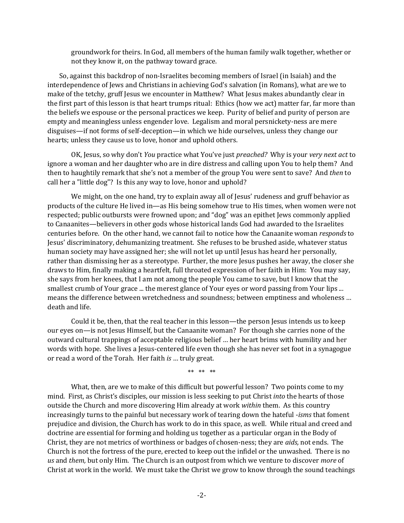groundwork for theirs. In God, all members of the human family walk together, whether or not they know it, on the pathway toward grace.

So, against this backdrop of non-Israelites becoming members of Israel (in Isaiah) and the interdependence of Jews and Christians in achieving God's salvation (in Romans), what are we to make of the tetchy, gruff Jesus we encounter in Matthew? What Jesus makes abundantly clear in the first part of this lesson is that heart trumps ritual: Ethics (how we act) matter far, far more than the beliefs we espouse or the personal practices we keep. Purity of belief and purity of person are empty and meaningless unless engender love. Legalism and moral persnickety-ness are mere disguises—if not forms of self-deception—in which we hide ourselves, unless they change our hearts; unless they cause us to love, honor and uphold others.

OK, Jesus, so why don't *You* practice what You've just *preached?* Why is your *very next act* to ignore a woman and her daughter who are in dire distress and calling upon You to help them? And then to haughtily remark that she's not a member of the group You were sent to save? And *then* to call her a "little dog"? Is this any way to love, honor and uphold?

We might, on the one hand, try to explain away all of Jesus' rudeness and gruff behavior as products of the culture He lived in—as His being somehow true to His times, when women were not respected; public outbursts were frowned upon; and "dog" was an epithet Jews commonly applied to Canaanites—believers in other gods whose historical lands God had awarded to the Israelites centuries before. On the other hand, we cannot fail to notice how the Canaanite woman *responds* to Jesus' discriminatory, dehumanizing treatment. She refuses to be brushed aside, whatever status human society may have assigned her; she will not let up until Jesus has heard her personally, rather than dismissing her as a stereotype. Further, the more Jesus pushes her away, the closer she draws to Him, finally making a heartfelt, full throated expression of her faith in Him: You may say, she says from her knees, that I am not among the people You came to save, but I know that the smallest crumb of Your grace ... the merest glance of Your eyes or word passing from Your lips ... means the difference between wretchedness and soundness; between emptiness and wholeness … death and life.

Could it be, then, that the real teacher in this lesson—the person Jesus intends us to keep our eyes on—is not Jesus Himself, but the Canaanite woman? For though she carries none of the outward cultural trappings of acceptable religious belief … her heart brims with humility and her words with hope. She lives a Jesus-centered life even though she has never set foot in a synagogue or read a word of the Torah. Her faith *is* … truly great.

\*\* \*\* \*\*

What, then, are we to make of this difficult but powerful lesson? Two points come to my mind. First, as Christ's disciples, our mission is less seeking to put Christ *into* the hearts of those outside the Church and more discovering Him already at work *within* them. As this country increasingly turns to the painful but necessary work of tearing down the hateful -*isms* that foment prejudice and division, the Church has work to do in this space, as well. While ritual and creed and doctrine are essential for forming and holding us together as a particular organ in the Body of Christ, they are not metrics of worthiness or badges of chosen-ness; they are *aids,* not ends. The Church is not the fortress of the pure, erected to keep out the infidel or the unwashed. There is no *us* and *them,* but only Him. The Church is an outpost from which we venture to discover *more* of Christ at work in the world. We must take the Christ we grow to know through the sound teachings